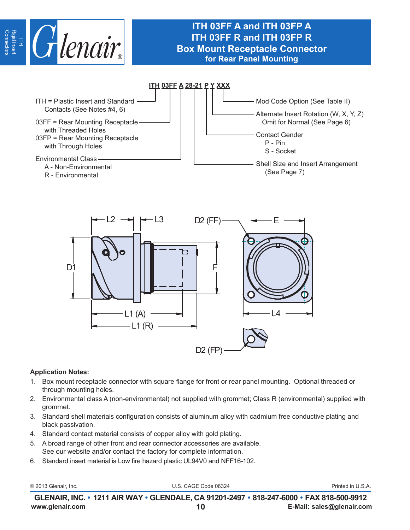

# **ITH 03FF A and ITH 03FP A ITH 03FF R and ITH 03FP R Box Mount Receptacle Connector for Rear Panel Mounting**





### **Application Notes:**

- 1. Box mount receptacle connector with square flange for front or rear panel mounting. Optional threaded or through mounting holes.
- 2. Environmental class A (non-environmental) not supplied with grommet; Class R (environmental) supplied with grommet.
- 3. Standard shell materials configuration consists of aluminum alloy with cadmium free conductive plating and black passivation.
- 4. Standard contact material consists of copper alloy with gold plating.
- 5. A broad range of other front and rear connector accessories are available. See our website and/or contact the factory for complete information.
- 6. Standard insert material is Low fire hazard plastic UL94V0 and NFF16-102.

© 2013 Glenair, Inc. U.S. CAGE Code 06324 Printed in U.S.A.

**www.glenair.com 10 E-Mail: sales@glenair.com GLENAIR, INC. • 1211 AIR WAY • GLENDALE, CA 91201-2497 • 818-247-6000 • FAX 818-500-9912**